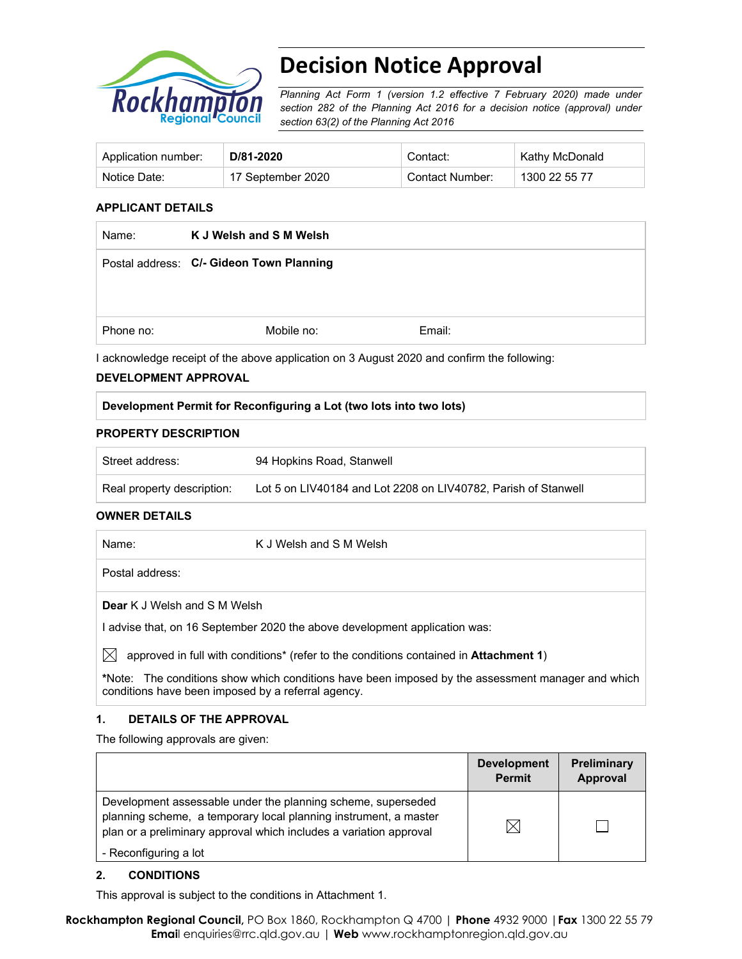

# **Decision Notice Approval**

*Planning Act Form 1 (version 1.2 effective 7 February 2020) made under section 282 of the Planning Act 2016 for a decision notice (approval) under section 63(2) of the Planning Act 2016*

| Application number: | D/81-2020         | Contact:        | Kathy McDonald |
|---------------------|-------------------|-----------------|----------------|
| Notice Date:        | 17 September 2020 | Contact Number: | 1300 22 55 77  |

#### **APPLICANT DETAILS**

| Name:     | K J Welsh and S M Welsh                  |        |
|-----------|------------------------------------------|--------|
|           | Postal address: C/- Gideon Town Planning |        |
|           |                                          |        |
|           |                                          |        |
| Phone no: | Mobile no:                               | Email: |

I acknowledge receipt of the above application on 3 August 2020 and confirm the following:

#### **DEVELOPMENT APPROVAL**

#### **Development Permit for Reconfiguring a Lot (two lots into two lots)**

#### **PROPERTY DESCRIPTION**

| Street address:            | 94 Hopkins Road, Stanwell                                      |
|----------------------------|----------------------------------------------------------------|
| Real property description: | Lot 5 on LIV40184 and Lot 2208 on LIV40782, Parish of Stanwell |

#### **OWNER DETAILS**

| Name:                        | K J Welsh and S M Welsh |  |  |
|------------------------------|-------------------------|--|--|
| Postal address:              |                         |  |  |
| Dear K J Welsh and S M Welsh |                         |  |  |

I advise that, on 16 September 2020 the above development application was:

 $\boxtimes$  approved in full with conditions<sup>\*</sup> (refer to the conditions contained in **Attachment 1**)

**\***Note:The conditions show which conditions have been imposed by the assessment manager and which conditions have been imposed by a referral agency.

#### **1. DETAILS OF THE APPROVAL**

The following approvals are given:

|                                                                                                                                                                                                        | <b>Development</b><br><b>Permit</b> | <b>Preliminary</b><br>Approval |
|--------------------------------------------------------------------------------------------------------------------------------------------------------------------------------------------------------|-------------------------------------|--------------------------------|
| Development assessable under the planning scheme, superseded<br>planning scheme, a temporary local planning instrument, a master<br>plan or a preliminary approval which includes a variation approval | IX                                  |                                |
| - Reconfiguring a lot                                                                                                                                                                                  |                                     |                                |

#### **2. CONDITIONS**

This approval is subject to the conditions in Attachment 1.

**Rockhampton Regional Council,** PO Box 1860, Rockhampton Q 4700 | **Phone** 4932 9000 |**Fax** 1300 22 55 79 **Emai**l enquiries@rrc.qld.gov.au | **Web** www.rockhamptonregion.qld.gov.au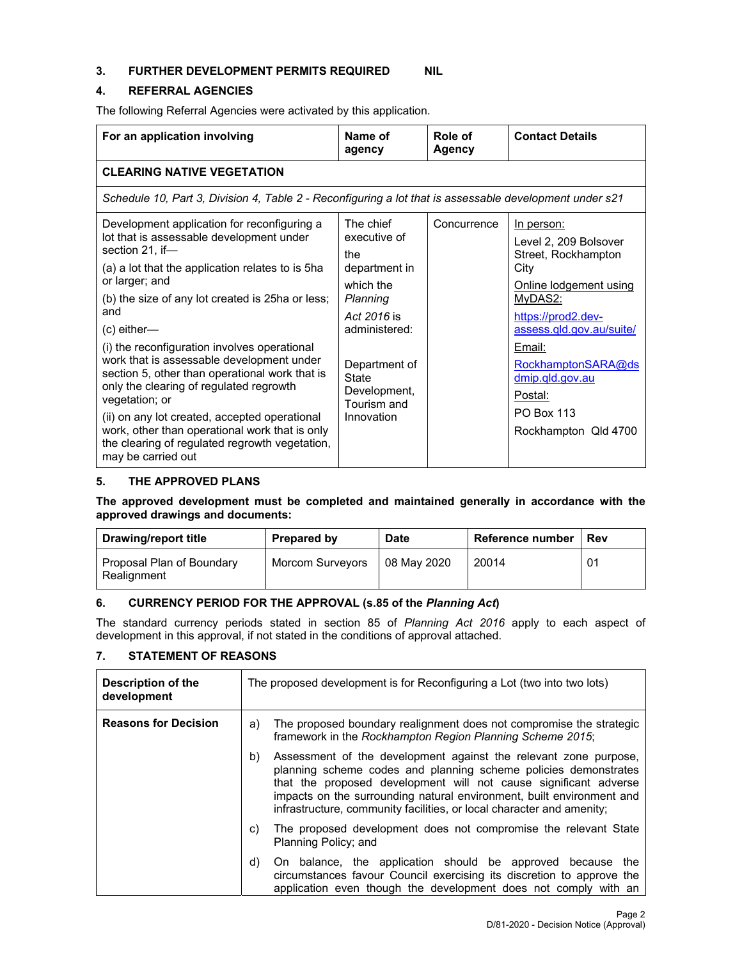## **3. FURTHER DEVELOPMENT PERMITS REQUIRED NIL**

#### **4. REFERRAL AGENCIES**

The following Referral Agencies were activated by this application.

| For an application involving                                                                                                                                                                                                                                                                                                                                                                                                                                                                                                                                                                                                                        | Name of<br>agency                                                                                                                                                                        | Role of<br><b>Agency</b> | <b>Contact Details</b>                                                                                                                                                                                                                                               |
|-----------------------------------------------------------------------------------------------------------------------------------------------------------------------------------------------------------------------------------------------------------------------------------------------------------------------------------------------------------------------------------------------------------------------------------------------------------------------------------------------------------------------------------------------------------------------------------------------------------------------------------------------------|------------------------------------------------------------------------------------------------------------------------------------------------------------------------------------------|--------------------------|----------------------------------------------------------------------------------------------------------------------------------------------------------------------------------------------------------------------------------------------------------------------|
| <b>CLEARING NATIVE VEGETATION</b>                                                                                                                                                                                                                                                                                                                                                                                                                                                                                                                                                                                                                   |                                                                                                                                                                                          |                          |                                                                                                                                                                                                                                                                      |
| Schedule 10, Part 3, Division 4, Table 2 - Reconfiguring a lot that is assessable development under s21                                                                                                                                                                                                                                                                                                                                                                                                                                                                                                                                             |                                                                                                                                                                                          |                          |                                                                                                                                                                                                                                                                      |
| Development application for reconfiguring a<br>lot that is assessable development under<br>section 21, if—<br>(a) a lot that the application relates to is 5ha<br>or larger; and<br>(b) the size of any lot created is 25ha or less;<br>and<br>$(c)$ either—<br>(i) the reconfiguration involves operational<br>work that is assessable development under<br>section 5, other than operational work that is<br>only the clearing of regulated regrowth<br>vegetation; or<br>(ii) on any lot created, accepted operational<br>work, other than operational work that is only<br>the clearing of regulated regrowth vegetation,<br>may be carried out | The chief<br>executive of<br>the<br>department in<br>which the<br>Planning<br>Act 2016 is<br>administered:<br>Department of<br><b>State</b><br>Development,<br>Tourism and<br>Innovation | Concurrence              | In person:<br>Level 2, 209 Bolsover<br>Street, Rockhampton<br>City<br>Online lodgement using<br>MyDAS2:<br>https://prod2.dev-<br>assess.qld.gov.au/suite/<br>Email:<br>RockhamptonSARA@ds<br>dmip.qld.gov.au<br>Postal:<br><b>PO Box 113</b><br>Rockhampton Qld 4700 |

#### **5. THE APPROVED PLANS**

**The approved development must be completed and maintained generally in accordance with the approved drawings and documents:** 

| Drawing/report title                     | <b>Prepared by</b> | <b>Date</b> | Reference number | Rev |
|------------------------------------------|--------------------|-------------|------------------|-----|
| Proposal Plan of Boundary<br>Realignment | Morcom Surveyors   | 08 May 2020 | 20014            | 01  |

# **6. CURRENCY PERIOD FOR THE APPROVAL (s.85 of the** *Planning Act***)**

The standard currency periods stated in section 85 of *Planning Act 2016* apply to each aspect of development in this approval, if not stated in the conditions of approval attached.

# **7. STATEMENT OF REASONS**

| Description of the<br>development | The proposed development is for Reconfiguring a Lot (two into two lots)                                                                                                                                                                                                                                                                                         |  |
|-----------------------------------|-----------------------------------------------------------------------------------------------------------------------------------------------------------------------------------------------------------------------------------------------------------------------------------------------------------------------------------------------------------------|--|
| <b>Reasons for Decision</b>       | The proposed boundary realignment does not compromise the strategic<br>a)<br>framework in the Rockhampton Region Planning Scheme 2015;                                                                                                                                                                                                                          |  |
|                                   | b)<br>Assessment of the development against the relevant zone purpose,<br>planning scheme codes and planning scheme policies demonstrates<br>that the proposed development will not cause significant adverse<br>impacts on the surrounding natural environment, built environment and<br>infrastructure, community facilities, or local character and amenity; |  |
|                                   | The proposed development does not compromise the relevant State<br>C)<br>Planning Policy; and                                                                                                                                                                                                                                                                   |  |
|                                   | On balance, the application should be approved because the<br>d)<br>circumstances favour Council exercising its discretion to approve the<br>application even though the development does not comply with an                                                                                                                                                    |  |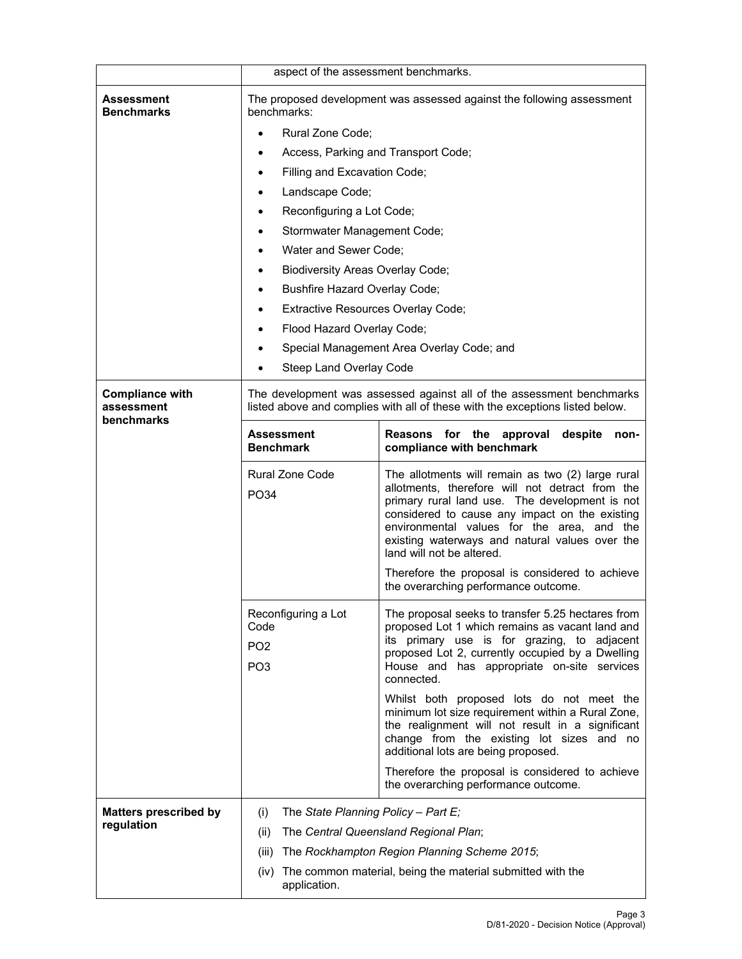|                                                    | aspect of the assessment benchmarks.                                                                                                                   |                                                                                                                                                                                                                                                                                                                                       |  |
|----------------------------------------------------|--------------------------------------------------------------------------------------------------------------------------------------------------------|---------------------------------------------------------------------------------------------------------------------------------------------------------------------------------------------------------------------------------------------------------------------------------------------------------------------------------------|--|
| Assessment<br><b>Benchmarks</b>                    | The proposed development was assessed against the following assessment<br>benchmarks:                                                                  |                                                                                                                                                                                                                                                                                                                                       |  |
|                                                    | Rural Zone Code;                                                                                                                                       |                                                                                                                                                                                                                                                                                                                                       |  |
|                                                    | Access, Parking and Transport Code;                                                                                                                    |                                                                                                                                                                                                                                                                                                                                       |  |
|                                                    | Filling and Excavation Code;                                                                                                                           |                                                                                                                                                                                                                                                                                                                                       |  |
|                                                    | Landscape Code;                                                                                                                                        |                                                                                                                                                                                                                                                                                                                                       |  |
|                                                    | Reconfiguring a Lot Code;<br>٠                                                                                                                         |                                                                                                                                                                                                                                                                                                                                       |  |
|                                                    | Stormwater Management Code;                                                                                                                            |                                                                                                                                                                                                                                                                                                                                       |  |
|                                                    | Water and Sewer Code;                                                                                                                                  |                                                                                                                                                                                                                                                                                                                                       |  |
|                                                    | <b>Biodiversity Areas Overlay Code;</b><br>٠                                                                                                           |                                                                                                                                                                                                                                                                                                                                       |  |
|                                                    | Bushfire Hazard Overlay Code;                                                                                                                          |                                                                                                                                                                                                                                                                                                                                       |  |
|                                                    | Extractive Resources Overlay Code;                                                                                                                     |                                                                                                                                                                                                                                                                                                                                       |  |
|                                                    | Flood Hazard Overlay Code;<br>$\bullet$                                                                                                                |                                                                                                                                                                                                                                                                                                                                       |  |
|                                                    |                                                                                                                                                        | Special Management Area Overlay Code; and                                                                                                                                                                                                                                                                                             |  |
|                                                    | Steep Land Overlay Code                                                                                                                                |                                                                                                                                                                                                                                                                                                                                       |  |
| <b>Compliance with</b><br>assessment<br>benchmarks | The development was assessed against all of the assessment benchmarks<br>listed above and complies with all of these with the exceptions listed below. |                                                                                                                                                                                                                                                                                                                                       |  |
|                                                    | <b>Assessment</b><br><b>Benchmark</b>                                                                                                                  | Reasons for the approval<br>despite<br>non-<br>compliance with benchmark                                                                                                                                                                                                                                                              |  |
|                                                    | <b>Rural Zone Code</b><br>PO34                                                                                                                         | The allotments will remain as two (2) large rural<br>allotments, therefore will not detract from the<br>primary rural land use. The development is not<br>considered to cause any impact on the existing<br>environmental values for the area, and the<br>existing waterways and natural values over the<br>land will not be altered. |  |
|                                                    |                                                                                                                                                        | Therefore the proposal is considered to achieve<br>the overarching performance outcome.                                                                                                                                                                                                                                               |  |
|                                                    | Reconfiguring a Lot<br>Code<br>PO <sub>2</sub><br>PO <sub>3</sub>                                                                                      | The proposal seeks to transfer 5.25 hectares from<br>proposed Lot 1 which remains as vacant land and<br>its primary use is for grazing, to adjacent<br>proposed Lot 2, currently occupied by a Dwelling<br>House and has appropriate on-site services<br>connected.                                                                   |  |
|                                                    |                                                                                                                                                        | Whilst both proposed lots do not meet the<br>minimum lot size requirement within a Rural Zone,<br>the realignment will not result in a significant<br>change from the existing lot sizes and no<br>additional lots are being proposed.                                                                                                |  |
|                                                    |                                                                                                                                                        | Therefore the proposal is considered to achieve<br>the overarching performance outcome.                                                                                                                                                                                                                                               |  |
| <b>Matters prescribed by</b>                       | The State Planning Policy - Part E;<br>(i)                                                                                                             |                                                                                                                                                                                                                                                                                                                                       |  |
| regulation                                         | (ii)                                                                                                                                                   | The Central Queensland Regional Plan;                                                                                                                                                                                                                                                                                                 |  |
|                                                    | (iii)<br>The Rockhampton Region Planning Scheme 2015;                                                                                                  |                                                                                                                                                                                                                                                                                                                                       |  |
|                                                    | (iv)                                                                                                                                                   | The common material, being the material submitted with the                                                                                                                                                                                                                                                                            |  |
|                                                    | application.                                                                                                                                           |                                                                                                                                                                                                                                                                                                                                       |  |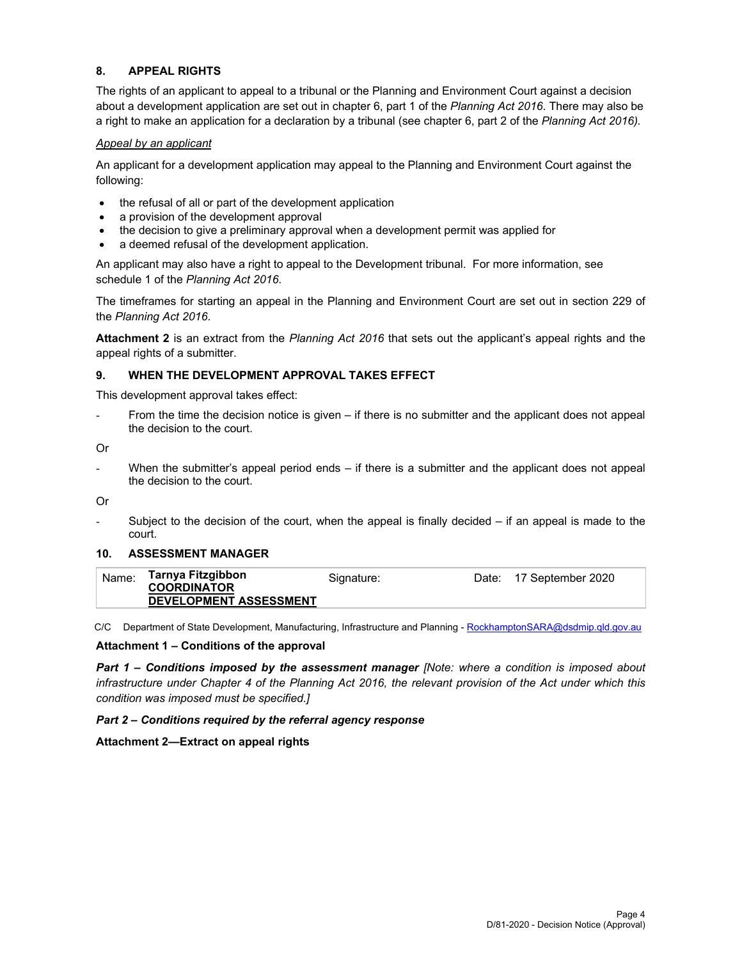#### **8. APPEAL RIGHTS**

The rights of an applicant to appeal to a tribunal or the Planning and Environment Court against a decision about a development application are set out in chapter 6, part 1 of the *Planning Act 2016*. There may also be a right to make an application for a declaration by a tribunal (see chapter 6, part 2 of the *Planning Act 2016).*

#### *Appeal by an applicant*

An applicant for a development application may appeal to the Planning and Environment Court against the following:

- the refusal of all or part of the development application
- a provision of the development approval
- the decision to give a preliminary approval when a development permit was applied for
- a deemed refusal of the development application.

An applicant may also have a right to appeal to the Development tribunal. For more information, see schedule 1 of the *Planning Act 2016*.

The timeframes for starting an appeal in the Planning and Environment Court are set out in section 229 of the *Planning Act 2016*.

**Attachment 2** is an extract from the *Planning Act 2016* that sets out the applicant's appeal rights and the appeal rights of a submitter.

#### **9. WHEN THE DEVELOPMENT APPROVAL TAKES EFFECT**

This development approval takes effect:

From the time the decision notice is given – if there is no submitter and the applicant does not appeal the decision to the court.

Or

When the submitter's appeal period ends  $-$  if there is a submitter and the applicant does not appeal the decision to the court.

Or

Subject to the decision of the court, when the appeal is finally decided  $-$  if an appeal is made to the court.

#### **10. ASSESSMENT MANAGER**

| Name: | Tarnya Fitzgibbon             | Signature: | Date: | 17 September 2020 |
|-------|-------------------------------|------------|-------|-------------------|
|       | <b>COORDINATOR</b>            |            |       |                   |
|       | <b>DEVELOPMENT ASSESSMENT</b> |            |       |                   |

C/C Department of State Development, Manufacturing, Infrastructure and Planning - RockhamptonSARA@dsdmip.qld.gov.au

#### **Attachment 1 – Conditions of the approval**

*Part 1* **–** *Conditions imposed by the assessment manager [Note: where a condition is imposed about infrastructure under Chapter 4 of the Planning Act 2016, the relevant provision of the Act under which this condition was imposed must be specified.]*

#### *Part 2 – Conditions required by the referral agency response*

**Attachment 2—Extract on appeal rights**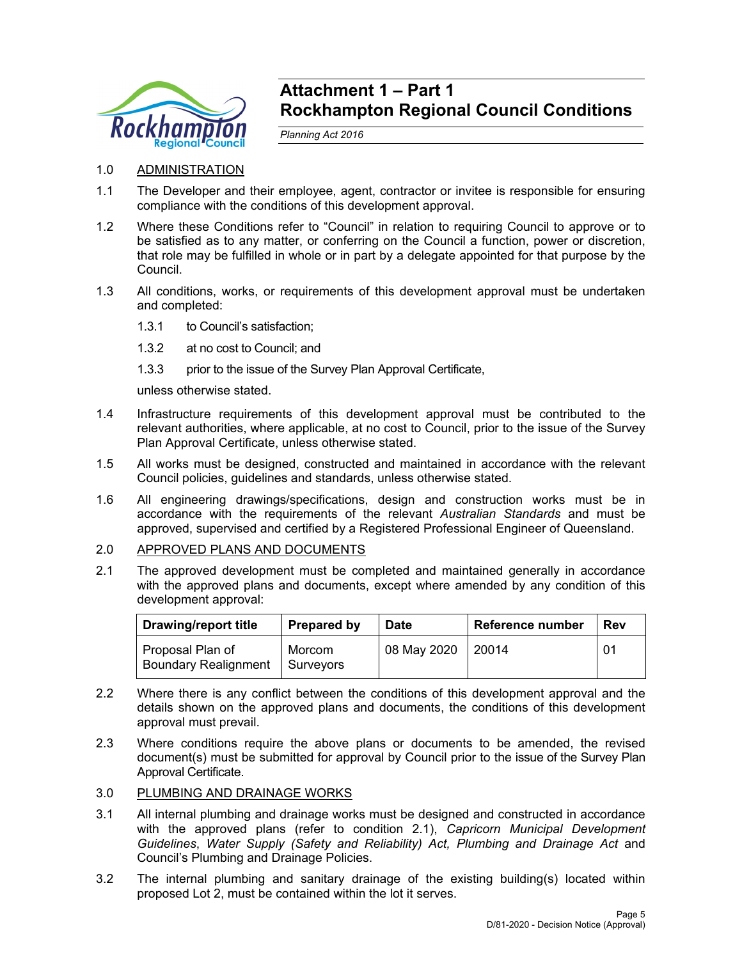

# **Attachment 1 – Part 1 Rockhampton Regional Council Conditions**

*Planning Act 2016* 

- 1.0 ADMINISTRATION
- 1.1 The Developer and their employee, agent, contractor or invitee is responsible for ensuring compliance with the conditions of this development approval.
- 1.2 Where these Conditions refer to "Council" in relation to requiring Council to approve or to be satisfied as to any matter, or conferring on the Council a function, power or discretion, that role may be fulfilled in whole or in part by a delegate appointed for that purpose by the Council.
- 1.3 All conditions, works, or requirements of this development approval must be undertaken and completed:
	- 1.3.1 to Council's satisfaction;
	- 1.3.2 at no cost to Council; and
	- 1.3.3 prior to the issue of the Survey Plan Approval Certificate,

unless otherwise stated.

- 1.4 Infrastructure requirements of this development approval must be contributed to the relevant authorities, where applicable, at no cost to Council, prior to the issue of the Survey Plan Approval Certificate, unless otherwise stated.
- 1.5 All works must be designed, constructed and maintained in accordance with the relevant Council policies, guidelines and standards, unless otherwise stated.
- 1.6 All engineering drawings/specifications, design and construction works must be in accordance with the requirements of the relevant *Australian Standards* and must be approved, supervised and certified by a Registered Professional Engineer of Queensland.
- 2.0 APPROVED PLANS AND DOCUMENTS
- 2.1 The approved development must be completed and maintained generally in accordance with the approved plans and documents, except where amended by any condition of this development approval:

| <b>Drawing/report title</b>                     | <b>Prepared by</b>    | <b>Date</b> | Reference number | Rev |
|-------------------------------------------------|-----------------------|-------------|------------------|-----|
| Proposal Plan of<br><b>Boundary Realignment</b> | Morcom<br>I Survevors | 08 May 2020 | 20014            | 01  |

- 2.2 Where there is any conflict between the conditions of this development approval and the details shown on the approved plans and documents, the conditions of this development approval must prevail.
- 2.3 Where conditions require the above plans or documents to be amended, the revised document(s) must be submitted for approval by Council prior to the issue of the Survey Plan Approval Certificate.
- 3.0 PLUMBING AND DRAINAGE WORKS
- 3.1 All internal plumbing and drainage works must be designed and constructed in accordance with the approved plans (refer to condition 2.1), *Capricorn Municipal Development Guidelines*, *Water Supply (Safety and Reliability) Act, Plumbing and Drainage Act* and Council's Plumbing and Drainage Policies.
- 3.2 The internal plumbing and sanitary drainage of the existing building(s) located within proposed Lot 2, must be contained within the lot it serves.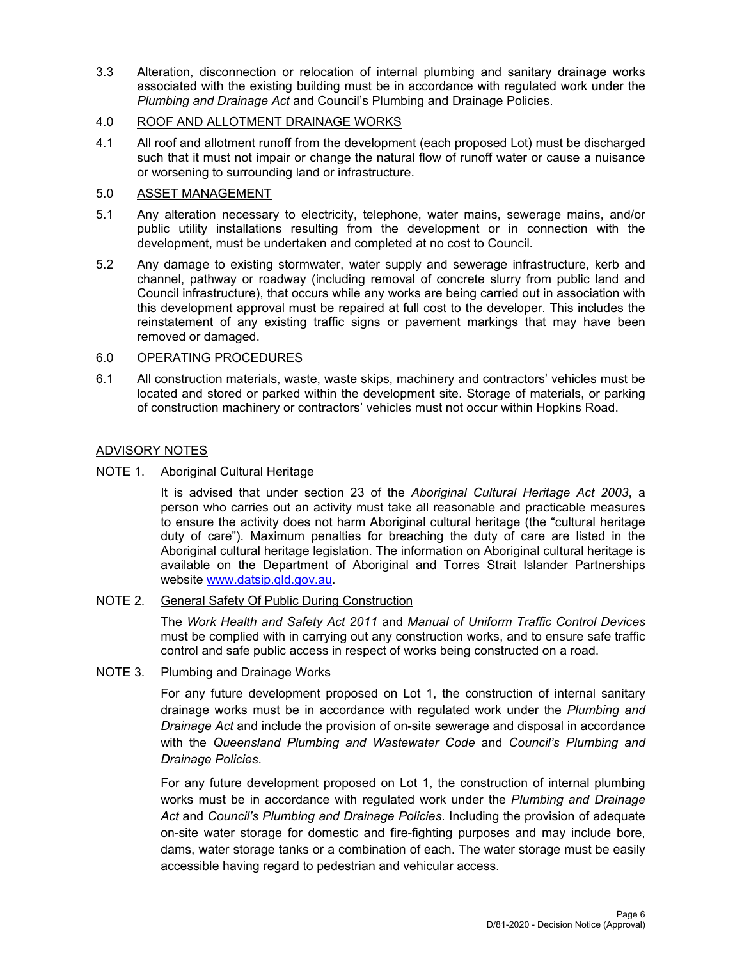3.3 Alteration, disconnection or relocation of internal plumbing and sanitary drainage works associated with the existing building must be in accordance with regulated work under the *Plumbing and Drainage Act* and Council's Plumbing and Drainage Policies.

# 4.0 ROOF AND ALLOTMENT DRAINAGE WORKS

4.1 All roof and allotment runoff from the development (each proposed Lot) must be discharged such that it must not impair or change the natural flow of runoff water or cause a nuisance or worsening to surrounding land or infrastructure.

#### 5.0 ASSET MANAGEMENT

- 5.1 Any alteration necessary to electricity, telephone, water mains, sewerage mains, and/or public utility installations resulting from the development or in connection with the development, must be undertaken and completed at no cost to Council.
- 5.2 Any damage to existing stormwater, water supply and sewerage infrastructure, kerb and channel, pathway or roadway (including removal of concrete slurry from public land and Council infrastructure), that occurs while any works are being carried out in association with this development approval must be repaired at full cost to the developer. This includes the reinstatement of any existing traffic signs or pavement markings that may have been removed or damaged.

## 6.0 OPERATING PROCEDURES

6.1 All construction materials, waste, waste skips, machinery and contractors' vehicles must be located and stored or parked within the development site. Storage of materials, or parking of construction machinery or contractors' vehicles must not occur within Hopkins Road.

## ADVISORY NOTES

## NOTE 1. Aboriginal Cultural Heritage

It is advised that under section 23 of the *Aboriginal Cultural Heritage Act 2003*, a person who carries out an activity must take all reasonable and practicable measures to ensure the activity does not harm Aboriginal cultural heritage (the "cultural heritage duty of care"). Maximum penalties for breaching the duty of care are listed in the Aboriginal cultural heritage legislation. The information on Aboriginal cultural heritage is available on the Department of Aboriginal and Torres Strait Islander Partnerships website www.datsip.qld.gov.au.

#### NOTE 2. General Safety Of Public During Construction

The *Work Health and Safety Act 2011* and *Manual of Uniform Traffic Control Devices* must be complied with in carrying out any construction works, and to ensure safe traffic control and safe public access in respect of works being constructed on a road.

# NOTE 3. Plumbing and Drainage Works

For any future development proposed on Lot 1, the construction of internal sanitary drainage works must be in accordance with regulated work under the *Plumbing and Drainage Act* and include the provision of on-site sewerage and disposal in accordance with the *Queensland Plumbing and Wastewater Code* and *Council's Plumbing and Drainage Policies*.

For any future development proposed on Lot 1, the construction of internal plumbing works must be in accordance with regulated work under the *Plumbing and Drainage Act* and *Council's Plumbing and Drainage Policies*. Including the provision of adequate on-site water storage for domestic and fire-fighting purposes and may include bore, dams, water storage tanks or a combination of each. The water storage must be easily accessible having regard to pedestrian and vehicular access.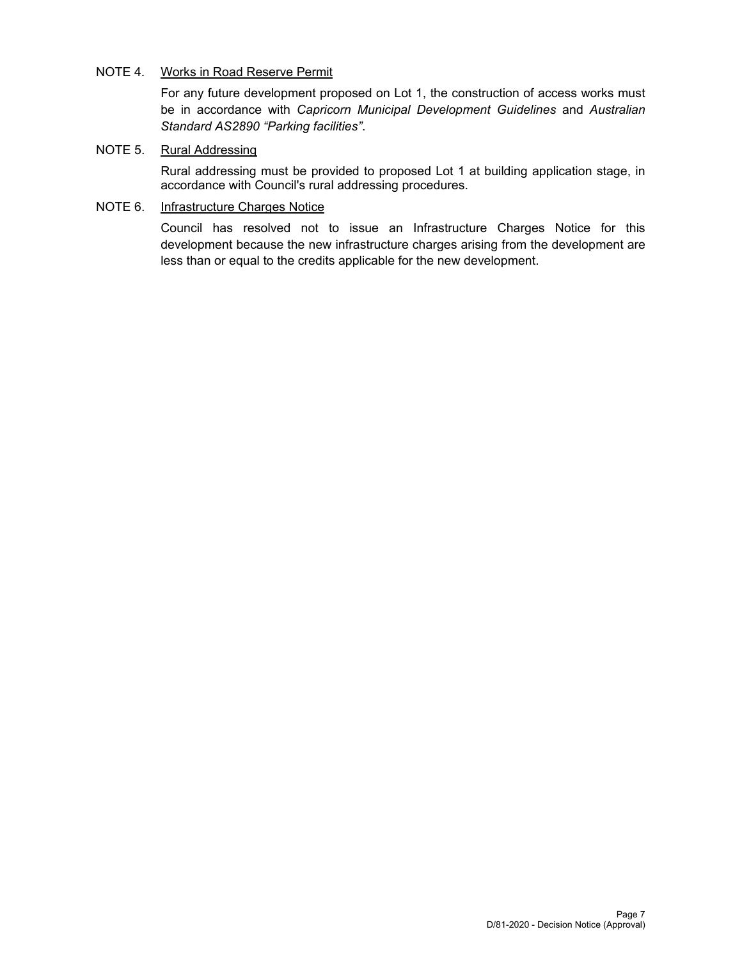# NOTE 4. Works in Road Reserve Permit

For any future development proposed on Lot 1, the construction of access works must be in accordance with *Capricorn Municipal Development Guidelines* and *Australian Standard AS2890 "Parking facilities"*.

# NOTE 5. Rural Addressing

Rural addressing must be provided to proposed Lot 1 at building application stage, in accordance with Council's rural addressing procedures.

# NOTE 6. Infrastructure Charges Notice

Council has resolved not to issue an Infrastructure Charges Notice for this development because the new infrastructure charges arising from the development are less than or equal to the credits applicable for the new development.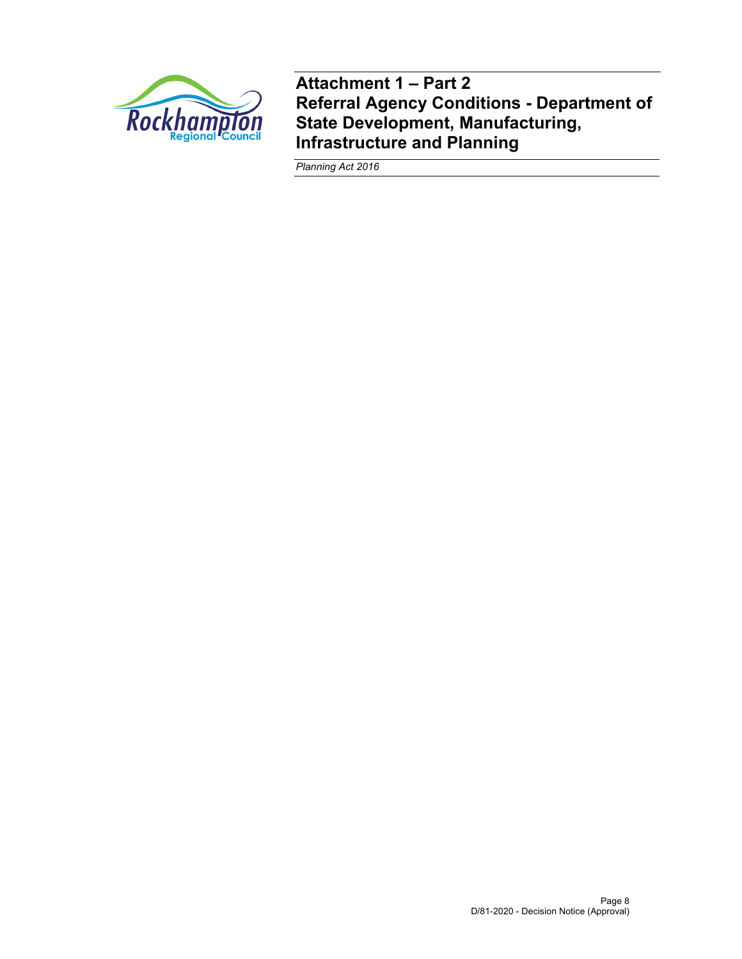

**Attachment 1 – Part 2 Referral Agency Conditions - Department of State Development, Manufacturing, Infrastructure and Planning** 

*Planning Act 2016*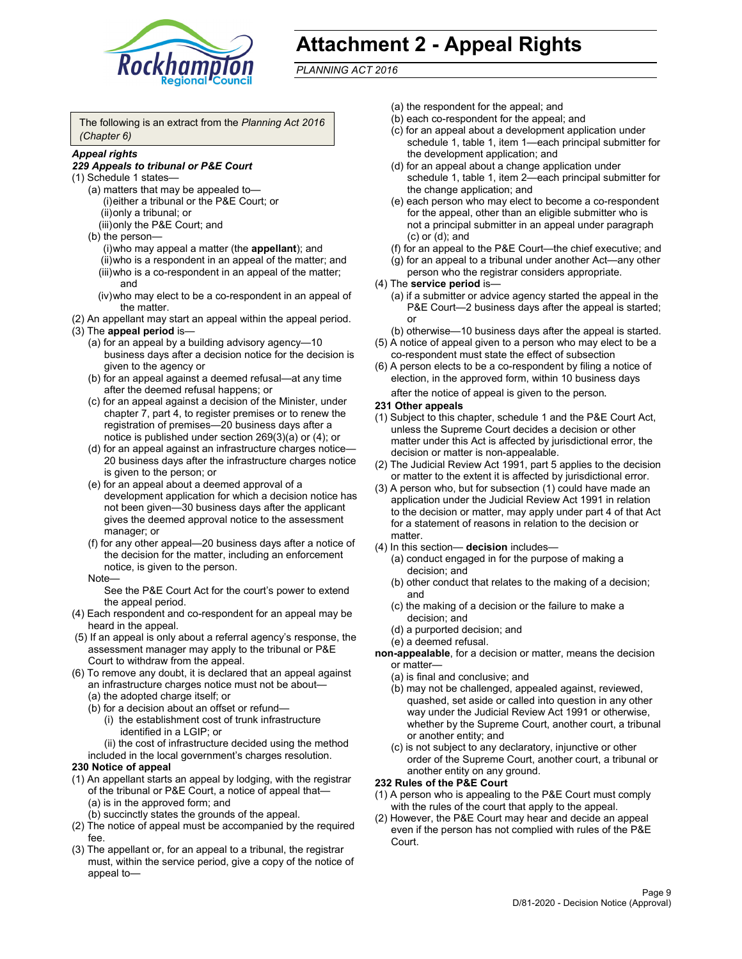

# **Attachment 2 - Appeal Rights**

*PLANNING ACT 2016*

The following is an extract from the *Planning Act 2016 (Chapter 6)*

#### *Appeal rights*

#### *229 Appeals to tribunal or P&E Court*

- (1) Schedule 1 states—
	- (a) matters that may be appealed to— (i) either a tribunal or the P&E Court; or (ii) only a tribunal; or (iii) only the P&E Court; and
	- (b) the person—
		- (i) who may appeal a matter (the **appellant**); and
		- (ii) who is a respondent in an appeal of the matter; and (iii) who is a co-respondent in an appeal of the matter; and
		- (iv) who may elect to be a co-respondent in an appeal of the matter.
- (2) An appellant may start an appeal within the appeal period.
- (3) The **appeal period** is—
	- (a) for an appeal by a building advisory agency—10 business days after a decision notice for the decision is given to the agency or
	- (b) for an appeal against a deemed refusal—at any time after the deemed refusal happens; or
	- (c) for an appeal against a decision of the Minister, under chapter 7, part 4, to register premises or to renew the registration of premises—20 business days after a notice is published under section 269(3)(a) or (4); or
	- (d) for an appeal against an infrastructure charges notice— 20 business days after the infrastructure charges notice is given to the person; or
	- (e) for an appeal about a deemed approval of a development application for which a decision notice has not been given—30 business days after the applicant gives the deemed approval notice to the assessment manager; or
	- (f) for any other appeal—20 business days after a notice of the decision for the matter, including an enforcement notice, is given to the person.

#### Note—

See the P&E Court Act for the court's power to extend the appeal period.

- (4) Each respondent and co-respondent for an appeal may be heard in the appeal.
- (5) If an appeal is only about a referral agency's response, the assessment manager may apply to the tribunal or P&E Court to withdraw from the appeal.
- (6) To remove any doubt, it is declared that an appeal against an infrastructure charges notice must not be about— (a) the adopted charge itself; or
	- (b) for a decision about an offset or refund—
		- (i) the establishment cost of trunk infrastructure identified in a LGIP; or
		- (ii) the cost of infrastructure decided using the method
	- included in the local government's charges resolution.

#### **230 Notice of appeal**

- (1) An appellant starts an appeal by lodging, with the registrar of the tribunal or P&E Court, a notice of appeal that— (a) is in the approved form; and
	- (b) succinctly states the grounds of the appeal.
- (2) The notice of appeal must be accompanied by the required fee.
- (3) The appellant or, for an appeal to a tribunal, the registrar must, within the service period, give a copy of the notice of appeal to—
- (a) the respondent for the appeal; and
- (b) each co-respondent for the appeal; and
- (c) for an appeal about a development application under schedule 1, table 1, item 1—each principal submitter for the development application; and
- (d) for an appeal about a change application under schedule 1, table 1, item 2—each principal submitter for the change application; and
- (e) each person who may elect to become a co-respondent for the appeal, other than an eligible submitter who is not a principal submitter in an appeal under paragraph (c) or (d); and
- (f) for an appeal to the P&E Court—the chief executive; and
- (g) for an appeal to a tribunal under another Act—any other person who the registrar considers appropriate.
- (4) The **service period** is—
	- (a) if a submitter or advice agency started the appeal in the P&E Court-2 business days after the appeal is started; or
	- (b) otherwise—10 business days after the appeal is started.
- (5) A notice of appeal given to a person who may elect to be a co-respondent must state the effect of subsection
- (6) A person elects to be a co-respondent by filing a notice of election, in the approved form, within 10 business days
	- after the notice of appeal is given to the person*.*
- **231 Other appeals**
- (1) Subject to this chapter, schedule 1 and the P&E Court Act, unless the Supreme Court decides a decision or other matter under this Act is affected by jurisdictional error, the decision or matter is non-appealable.
- (2) The Judicial Review Act 1991, part 5 applies to the decision or matter to the extent it is affected by jurisdictional error.
- (3) A person who, but for subsection (1) could have made an application under the Judicial Review Act 1991 in relation to the decision or matter, may apply under part 4 of that Act for a statement of reasons in relation to the decision or matter.
- (4) In this section— **decision** includes—
	- (a) conduct engaged in for the purpose of making a decision; and
	- (b) other conduct that relates to the making of a decision; and
	- (c) the making of a decision or the failure to make a decision; and
	- (d) a purported decision; and
	- (e) a deemed refusal.

**non-appealable**, for a decision or matter, means the decision or matter—

- (a) is final and conclusive; and
- (b) may not be challenged, appealed against, reviewed, quashed, set aside or called into question in any other way under the Judicial Review Act 1991 or otherwise, whether by the Supreme Court, another court, a tribunal or another entity; and
- (c) is not subject to any declaratory, injunctive or other order of the Supreme Court, another court, a tribunal or another entity on any ground.

#### **232 Rules of the P&E Court**

- (1) A person who is appealing to the P&E Court must comply with the rules of the court that apply to the appeal.
- (2) However, the P&E Court may hear and decide an appeal even if the person has not complied with rules of the P&E Court.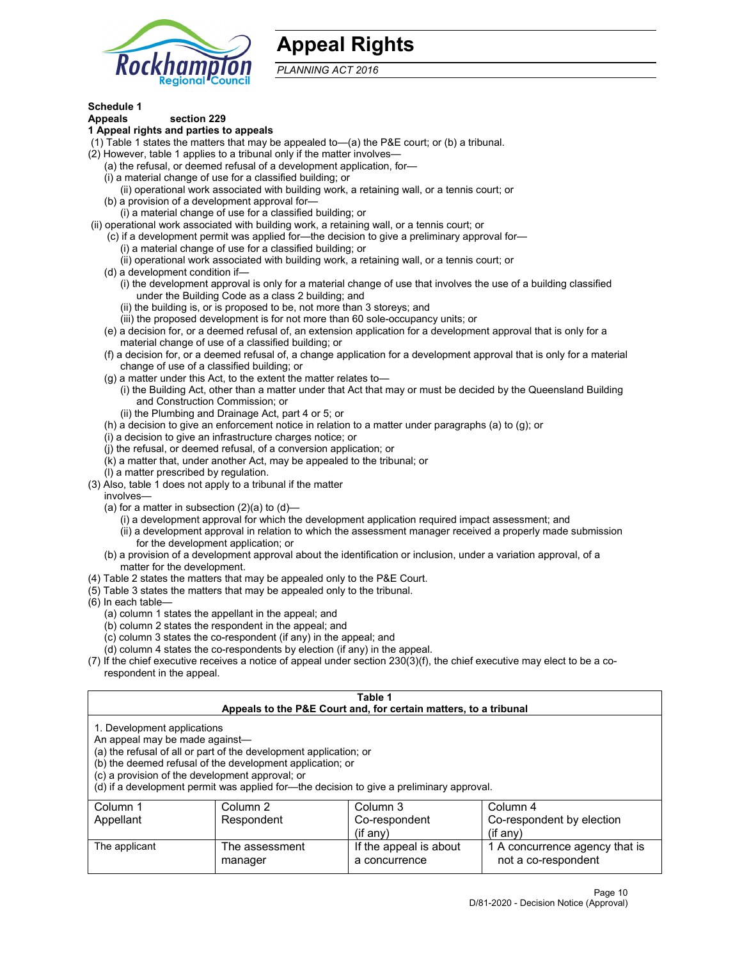

# **Appeal Rights**

*PLANNING ACT 2016*

# **Schedule 1**

# **Appeals section 229**

- **1 Appeal rights and parties to appeals**
- (1) Table 1 states the matters that may be appealed to—(a) the P&E court; or (b) a tribunal.
- (2) However, table 1 applies to a tribunal only if the matter involves—
	- (a) the refusal, or deemed refusal of a development application, for—
	- (i) a material change of use for a classified building; or
	- (ii) operational work associated with building work, a retaining wall, or a tennis court; or
	- (b) a provision of a development approval for—
	- (i) a material change of use for a classified building; or
- (ii) operational work associated with building work, a retaining wall, or a tennis court; or
	- (c) if a development permit was applied for—the decision to give a preliminary approval for— (i) a material change of use for a classified building; or
	- (ii) operational work associated with building work, a retaining wall, or a tennis court; or
	- (d) a development condition if—
		- (i) the development approval is only for a material change of use that involves the use of a building classified under the Building Code as a class 2 building; and
		- (ii) the building is, or is proposed to be, not more than 3 storeys; and
		- (iii) the proposed development is for not more than 60 sole-occupancy units; or
	- (e) a decision for, or a deemed refusal of, an extension application for a development approval that is only for a material change of use of a classified building; or
	- (f) a decision for, or a deemed refusal of, a change application for a development approval that is only for a material change of use of a classified building; or
	- (g) a matter under this Act, to the extent the matter relates to—
		- (i) the Building Act, other than a matter under that Act that may or must be decided by the Queensland Building and Construction Commission; or
		- (ii) the Plumbing and Drainage Act, part 4 or 5; or
	- (h) a decision to give an enforcement notice in relation to a matter under paragraphs (a) to (g); or
	- (i) a decision to give an infrastructure charges notice; or
	- (j) the refusal, or deemed refusal, of a conversion application; or
	- (k) a matter that, under another Act, may be appealed to the tribunal; or
	- (l) a matter prescribed by regulation.
- (3) Also, table 1 does not apply to a tribunal if the matter
	- involves—
		- (a) for a matter in subsection  $(2)(a)$  to  $(d)$ 
			- (i) a development approval for which the development application required impact assessment; and
			- (ii) a development approval in relation to which the assessment manager received a properly made submission for the development application; or
	- (b) a provision of a development approval about the identification or inclusion, under a variation approval, of a matter for the development.
- (4) Table 2 states the matters that may be appealed only to the P&E Court.
- (5) Table 3 states the matters that may be appealed only to the tribunal.
- (6) In each table—
	- (a) column 1 states the appellant in the appeal; and
	- (b) column 2 states the respondent in the appeal; and
	- (c) column 3 states the co-respondent (if any) in the appeal; and
	- (d) column 4 states the co-respondents by election (if any) in the appeal.
- (7) If the chief executive receives a notice of appeal under section 230(3)(f), the chief executive may elect to be a corespondent in the appeal.

| Table 1<br>Appeals to the P&E Court and, for certain matters, to a tribunal                                      |                                                                                                                                |                                                                                          |                                                       |  |  |
|------------------------------------------------------------------------------------------------------------------|--------------------------------------------------------------------------------------------------------------------------------|------------------------------------------------------------------------------------------|-------------------------------------------------------|--|--|
| 1. Development applications<br>An appeal may be made against-<br>(c) a provision of the development approval; or | (a) the refusal of all or part of the development application; or<br>(b) the deemed refusal of the development application; or | (d) if a development permit was applied for—the decision to give a preliminary approval. |                                                       |  |  |
| Column 1                                                                                                         | Column 2                                                                                                                       | Column 3                                                                                 | Column 4                                              |  |  |
| Appellant                                                                                                        | Respondent                                                                                                                     | Co-respondent                                                                            | Co-respondent by election                             |  |  |
| $(if$ any)<br>$($ if any $)$                                                                                     |                                                                                                                                |                                                                                          |                                                       |  |  |
| The applicant                                                                                                    | The assessment<br>manager                                                                                                      | If the appeal is about<br>a concurrence                                                  | 1 A concurrence agency that is<br>not a co-respondent |  |  |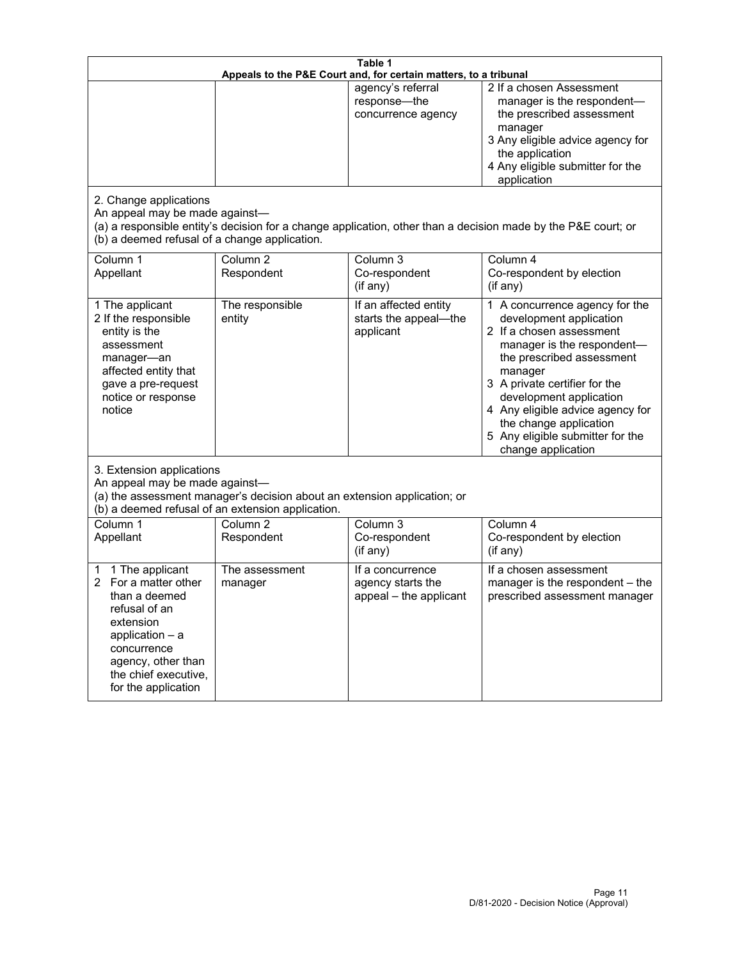| Table 1<br>Appeals to the P&E Court and, for certain matters, to a tribunal                                                                                                                        |                                     |                                                                 |                                                                                                                                                                                                                                                                                                                                                 |  |
|----------------------------------------------------------------------------------------------------------------------------------------------------------------------------------------------------|-------------------------------------|-----------------------------------------------------------------|-------------------------------------------------------------------------------------------------------------------------------------------------------------------------------------------------------------------------------------------------------------------------------------------------------------------------------------------------|--|
| 2. Change applications<br>An appeal may be made against-                                                                                                                                           |                                     | agency's referral<br>response-the<br>concurrence agency         | 2 If a chosen Assessment<br>manager is the respondent-<br>the prescribed assessment<br>manager<br>3 Any eligible advice agency for<br>the application<br>4 Any eligible submitter for the<br>application<br>(a) a responsible entity's decision for a change application, other than a decision made by the P&E court; or                       |  |
| (b) a deemed refusal of a change application.<br>Column 1<br>Appellant                                                                                                                             | Column $\overline{2}$<br>Respondent | Column 3<br>Co-respondent<br>(if any)                           | Column 4<br>Co-respondent by election<br>(if any)                                                                                                                                                                                                                                                                                               |  |
| 1 The applicant<br>2 If the responsible<br>entity is the<br>assessment<br>manager-an<br>affected entity that<br>gave a pre-request<br>notice or response<br>notice                                 | The responsible<br>entity           | If an affected entity<br>starts the appeal-the<br>applicant     | 1 A concurrence agency for the<br>development application<br>2 If a chosen assessment<br>manager is the respondent-<br>the prescribed assessment<br>manager<br>3 A private certifier for the<br>development application<br>4 Any eligible advice agency for<br>the change application<br>5 Any eligible submitter for the<br>change application |  |
| 3. Extension applications<br>An appeal may be made against-<br>(a) the assessment manager's decision about an extension application; or<br>(b) a deemed refusal of an extension application.       |                                     |                                                                 |                                                                                                                                                                                                                                                                                                                                                 |  |
| Column 1<br>Appellant                                                                                                                                                                              | Column <sub>2</sub><br>Respondent   | Column 3<br>Co-respondent<br>(if any)                           | Column 4<br>Co-respondent by election<br>(if any)                                                                                                                                                                                                                                                                                               |  |
| 1 The applicant<br>1<br>For a matter other<br>than a deemed<br>refusal of an<br>extension<br>application $-$ a<br>concurrence<br>agency, other than<br>the chief executive,<br>for the application | The assessment<br>manager           | If a concurrence<br>agency starts the<br>appeal - the applicant | If a chosen assessment<br>manager is the respondent - the<br>prescribed assessment manager                                                                                                                                                                                                                                                      |  |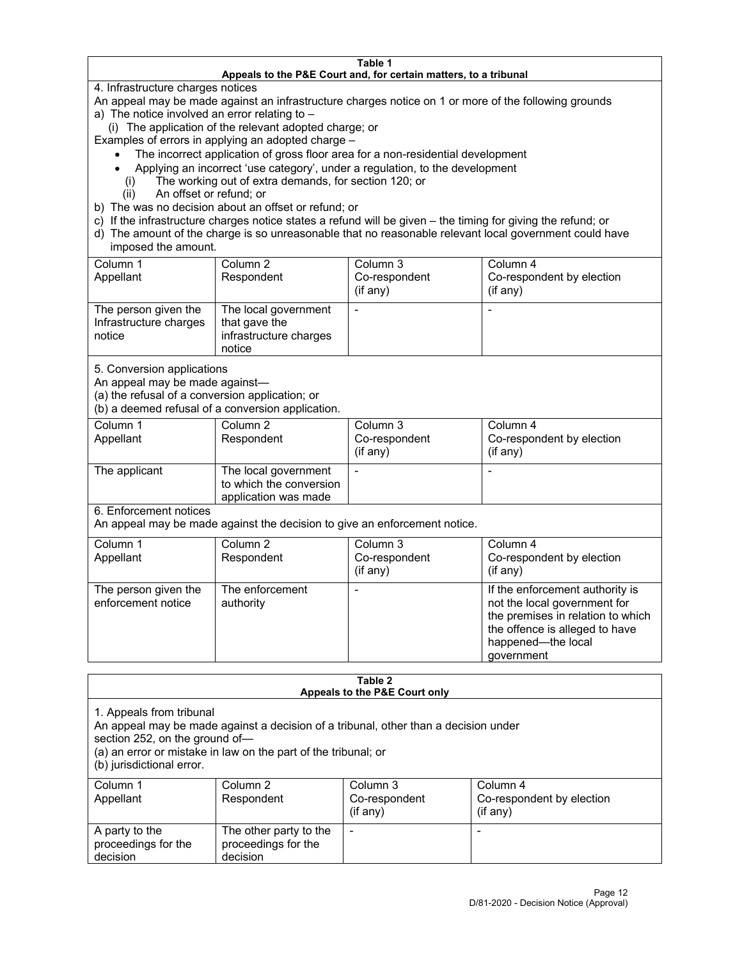#### **Table 1 Appeals to the P&E Court and, for certain matters, to a tribunal**

4. Infrastructure charges notices

An appeal may be made against an infrastructure charges notice on 1 or more of the following grounds

- a) The notice involved an error relating to
	- (i) The application of the relevant adopted charge; or

Examples of errors in applying an adopted charge –

- The incorrect application of gross floor area for a non-residential development
- Applying an incorrect 'use category', under a regulation, to the development
- (i) The working out of extra demands, for section 120; or
- (ii) An offset or refund; or
- b) The was no decision about an offset or refund; or
- c) If the infrastructure charges notice states a refund will be given the timing for giving the refund; or
- d) The amount of the charge is so unreasonable that no reasonable relevant local government could have imposed the amount.

| Column 1<br>Appellant                                    | Column 2<br>Respondent                                                    | Column 3<br>Co-respondent<br>(if any) | Column 4<br>Co-respondent by election<br>(if any) |
|----------------------------------------------------------|---------------------------------------------------------------------------|---------------------------------------|---------------------------------------------------|
| The person given the<br>Infrastructure charges<br>notice | The local government<br>that gave the<br>infrastructure charges<br>notice |                                       |                                                   |

5. Conversion applications

An appeal may be made against—

(a) the refusal of a conversion application; or

(b) a deemed refusal of a conversion application.

| Column 1      | Column 2                | Column 3       | Column 4                  |
|---------------|-------------------------|----------------|---------------------------|
| Appellant     | Respondent              | Co-respondent  | Co-respondent by election |
|               |                         | $($ if any $)$ | $($ if any $)$            |
|               |                         |                |                           |
| The applicant | The local government    |                |                           |
|               | to which the conversion |                |                           |
|               | application was made    |                |                           |

6. Enforcement notices

An appeal may be made against the decision to give an enforcement notice.

| Column 1<br>Appellant                      | Column 2<br>Respondent       | Column 3<br>Co-respondent<br>(if any) | Column 4<br>Co-respondent by election<br>(i f any)                                                                                                                         |
|--------------------------------------------|------------------------------|---------------------------------------|----------------------------------------------------------------------------------------------------------------------------------------------------------------------------|
| The person given the<br>enforcement notice | The enforcement<br>authority |                                       | If the enforcement authority is<br>not the local government for<br>the premises in relation to which<br>the offence is alleged to have<br>happened-the local<br>government |

#### **Table 2 Appeals to the P&E Court only**

1. Appeals from tribunal

An appeal may be made against a decision of a tribunal, other than a decision under

section 252, on the ground of—

(a) an error or mistake in law on the part of the tribunal; or

(b) jurisdictional error.

| Column 1<br>Appellant                             | Column 2<br>Respondent                                    | Column 3<br>Co-respondent<br>$(if$ any) | Column 4<br>Co-respondent by election<br>$(if$ any) |
|---------------------------------------------------|-----------------------------------------------------------|-----------------------------------------|-----------------------------------------------------|
| A party to the<br>proceedings for the<br>decision | The other party to the<br>proceedings for the<br>decision | $\overline{\phantom{a}}$                |                                                     |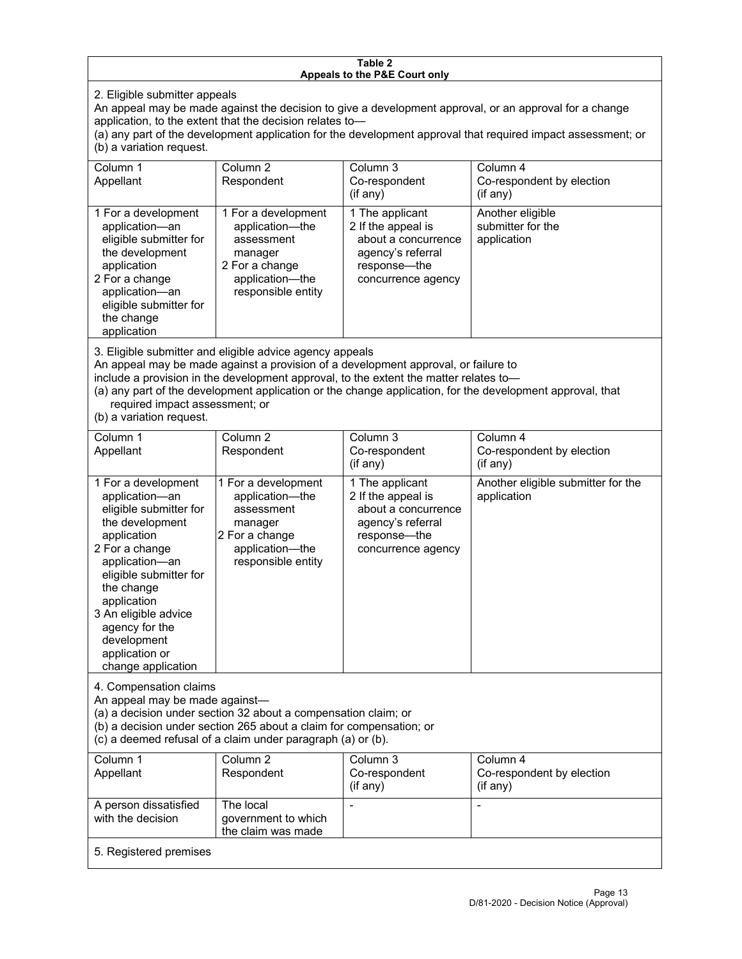#### **Table 2 Appeals to the P&E Court only**

2. Eligible submitter appeals

An appeal may be made against the decision to give a development approval, or an approval for a change application, to the extent that the decision relates to—

(a) any part of the development application for the development approval that required impact assessment; or (b) a variation request.

| Column 1<br>Appellant                                                                                                                                                                        | Column 2<br>Respondent                                                                                                     | Column 3<br>Co-respondent<br>(i f any)                                                                                  | Column 4<br>Co-respondent by election<br>$($ if any $)$ |
|----------------------------------------------------------------------------------------------------------------------------------------------------------------------------------------------|----------------------------------------------------------------------------------------------------------------------------|-------------------------------------------------------------------------------------------------------------------------|---------------------------------------------------------|
| 1 For a development<br>application-an<br>eligible submitter for<br>the development<br>application<br>2 For a change<br>application-an<br>eligible submitter for<br>the change<br>application | 1 For a development<br>application-the<br>assessment<br>manager<br>2 For a change<br>application-the<br>responsible entity | 1 The applicant<br>2 If the appeal is<br>about a concurrence<br>agency's referral<br>response—the<br>concurrence agency | Another eligible<br>submitter for the<br>application    |

3. Eligible submitter and eligible advice agency appeals

An appeal may be made against a provision of a development approval, or failure to

include a provision in the development approval, to the extent the matter relates to—

(a) any part of the development application or the change application, for the development approval, that required impact assessment; or

(b) a variation request.

| Column 1<br>Appellant                                                                                                                                                                                                                                                                         | Column <sub>2</sub><br>Respondent                                                                                          | Column <sub>3</sub><br>Co-respondent<br>(if any)                                                                        | Column 4<br>Co-respondent by election<br>(if any) |
|-----------------------------------------------------------------------------------------------------------------------------------------------------------------------------------------------------------------------------------------------------------------------------------------------|----------------------------------------------------------------------------------------------------------------------------|-------------------------------------------------------------------------------------------------------------------------|---------------------------------------------------|
| 1 For a development<br>application-an<br>eligible submitter for<br>the development<br>application<br>2 For a change<br>application-an<br>eligible submitter for<br>the change<br>application<br>3 An eligible advice<br>agency for the<br>development<br>application or<br>change application | 1 For a development<br>application-the<br>assessment<br>manager<br>2 For a change<br>application-the<br>responsible entity | 1 The applicant<br>2 If the appeal is<br>about a concurrence<br>agency's referral<br>response—the<br>concurrence agency | Another eligible submitter for the<br>application |
| 4. Compensation claims<br>An appeal may be made against-<br>(a) a decision under section 32 about a compensation claim; or<br>(b) a decision under section 265 about a claim for compensation; or<br>(c) a deemed refusal of a claim under paragraph (a) or (b).                              |                                                                                                                            |                                                                                                                         |                                                   |
| Column 1<br>Appellant                                                                                                                                                                                                                                                                         | Column <sub>2</sub><br>Respondent                                                                                          | Column <sub>3</sub><br>Co-respondent<br>(if any)                                                                        | Column 4<br>Co-respondent by election<br>(if any) |
| A person dissatisfied<br>with the decision                                                                                                                                                                                                                                                    | The local<br>government to which<br>the claim was made                                                                     |                                                                                                                         |                                                   |
| 5. Registered premises                                                                                                                                                                                                                                                                        |                                                                                                                            |                                                                                                                         |                                                   |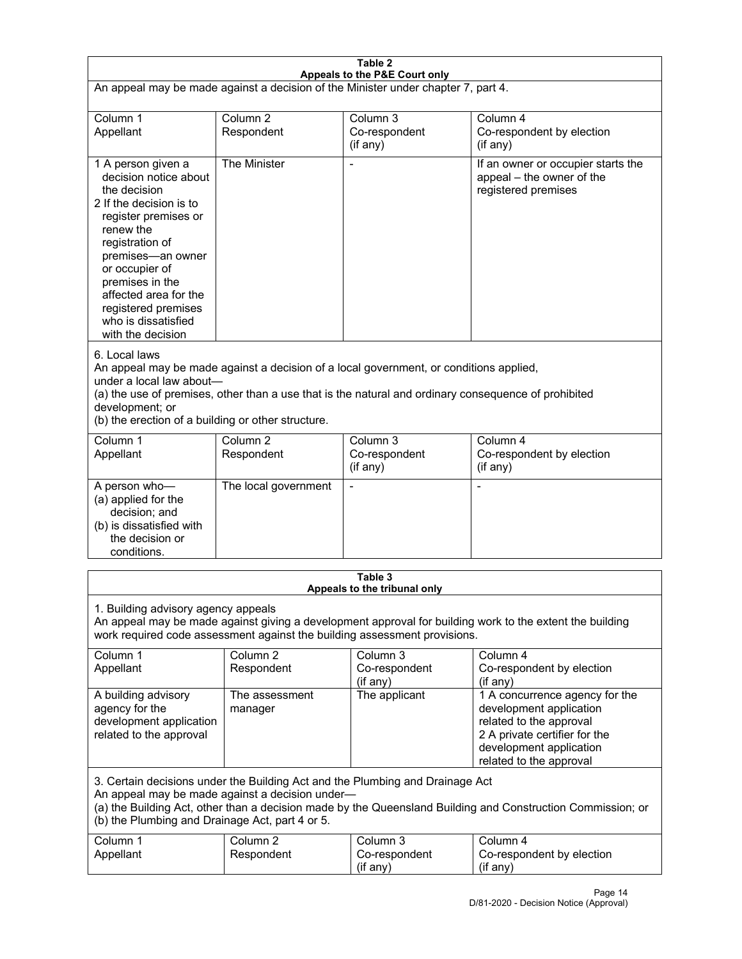| Table 2<br>Appeals to the P&E Court only                                                                                                                                                                                                                                                                             |                                   |                                                  |                                                                                                                                                                             |  |
|----------------------------------------------------------------------------------------------------------------------------------------------------------------------------------------------------------------------------------------------------------------------------------------------------------------------|-----------------------------------|--------------------------------------------------|-----------------------------------------------------------------------------------------------------------------------------------------------------------------------------|--|
| An appeal may be made against a decision of the Minister under chapter 7, part 4.                                                                                                                                                                                                                                    |                                   |                                                  |                                                                                                                                                                             |  |
| Column 1<br>Appellant                                                                                                                                                                                                                                                                                                | Column <sub>2</sub><br>Respondent | Column <sub>3</sub><br>Co-respondent<br>(if any) | Column 4<br>Co-respondent by election<br>(if any)                                                                                                                           |  |
| 1 A person given a<br>decision notice about<br>the decision<br>2 If the decision is to<br>register premises or<br>renew the<br>registration of<br>premises-an owner<br>or occupier of<br>premises in the<br>affected area for the<br>registered premises<br>who is dissatisfied<br>with the decision                 | The Minister                      | Ĭ.                                               | If an owner or occupier starts the<br>appeal - the owner of the<br>registered premises                                                                                      |  |
| 6. Local laws<br>An appeal may be made against a decision of a local government, or conditions applied,<br>under a local law about-<br>(a) the use of premises, other than a use that is the natural and ordinary consequence of prohibited<br>development; or<br>(b) the erection of a building or other structure. |                                   |                                                  |                                                                                                                                                                             |  |
| Column 1<br>Appellant                                                                                                                                                                                                                                                                                                | Column <sub>2</sub><br>Respondent | Column 3<br>Co-respondent<br>(if any)            | Column 4<br>Co-respondent by election<br>(if any)                                                                                                                           |  |
| A person who-<br>(a) applied for the<br>decision; and<br>(b) is dissatisfied with<br>the decision or<br>conditions.                                                                                                                                                                                                  | The local government              | L,                                               | $\overline{a}$                                                                                                                                                              |  |
|                                                                                                                                                                                                                                                                                                                      |                                   | Table 3<br>Appeals to the tribunal only          |                                                                                                                                                                             |  |
| 1. Building advisory agency appeals<br>An appeal may be made against giving a development approval for building work to the extent the building<br>work required code assessment against the building assessment provisions.                                                                                         |                                   |                                                  |                                                                                                                                                                             |  |
| Column 1<br>Appellant                                                                                                                                                                                                                                                                                                | Column <sub>2</sub><br>Respondent | Column 3<br>Co-respondent<br>(if any)            | Column 4<br>Co-respondent by election<br>(if any)                                                                                                                           |  |
| A building advisory<br>agency for the<br>development application<br>related to the approval                                                                                                                                                                                                                          | The assessment<br>manager         | The applicant                                    | 1 A concurrence agency for the<br>development application<br>related to the approval<br>2 A private certifier for the<br>development application<br>related to the approval |  |
| 3. Certain decisions under the Building Act and the Plumbing and Drainage Act<br>An appeal may be made against a decision under-<br>(a) the Building Act, other than a decision made by the Queensland Building and Construction Commission; or<br>(b) the Plumbing and Drainage Act, part 4 or 5.                   |                                   |                                                  |                                                                                                                                                                             |  |
| Column 1<br>Appellant                                                                                                                                                                                                                                                                                                | Column <sub>2</sub><br>Respondent | Column 3<br>Co-respondent<br>(if any)            | Column 4<br>Co-respondent by election<br>(if any)                                                                                                                           |  |